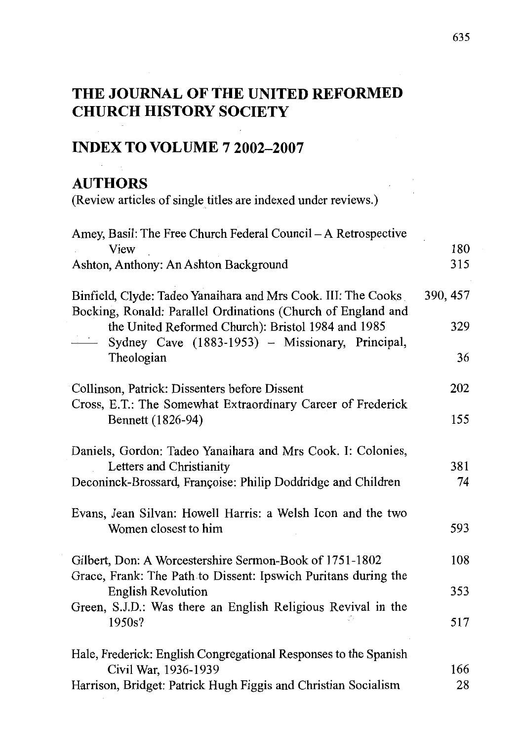## **THE JOURNAL OF THE UNITED REFORMED CHURCH HISTORY SOCIETY**

## **INDEX TO VOLUME 7 2002-2007**

## **AUTHORS**

(Review articles of single titles are indexed under reviews.)

| Amey, Basil: The Free Church Federal Council - A Retrospective<br>View<br>Ashton, Anthony: An Ashton Background                                                                         | 180<br>315 |
|-----------------------------------------------------------------------------------------------------------------------------------------------------------------------------------------|------------|
| Binfield, Clyde: Tadeo Yanaihara and Mrs Cook. III: The Cooks                                                                                                                           | 390, 457   |
| Bocking, Ronald: Parallel Ordinations (Church of England and<br>the United Reformed Church): Bristol 1984 and 1985<br>$\frac{1}{2}$<br>Sydney Cave (1883-1953) - Missionary, Principal, | 329        |
| Theologian                                                                                                                                                                              | 36         |
| Collinson, Patrick: Dissenters before Dissent<br>Cross, E.T.: The Somewhat Extraordinary Career of Frederick<br>Bennett (1826-94)                                                       | 202        |
|                                                                                                                                                                                         | 155        |
| Daniels, Gordon: Tadeo Yanaihara and Mrs Cook. I: Colonies,<br>Letters and Christianity<br>Deconinck-Brossard, Françoise: Philip Doddridge and Children                                 | 381<br>74  |
| Evans, Jean Silvan: Howell Harris: a Welsh Icon and the two<br>Women closest to him                                                                                                     | 593        |
| Gilbert, Don: A Worcestershire Sermon-Book of 1751-1802<br>Grace, Frank: The Path to Dissent: Ipswich Puritans during the                                                               | 108        |
| <b>English Revolution</b>                                                                                                                                                               | 353        |
| Green, S.J.D.: Was there an English Religious Revival in the<br>1950s?                                                                                                                  | 517        |
| Hale, Frederick: English Congregational Responses to the Spanish<br>Civil War, 1936-1939                                                                                                | 166        |
| Harrison, Bridget: Patrick Hugh Figgis and Christian Socialism                                                                                                                          | 28         |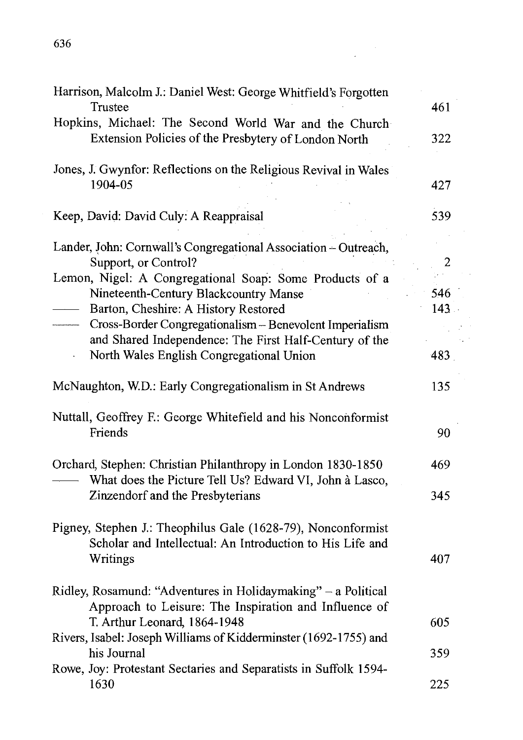| Harrison, Malcolm J.: Daniel West: George Whitfield's Forgotten<br>Trustee                                                               | 461        |
|------------------------------------------------------------------------------------------------------------------------------------------|------------|
| Hopkins, Michael: The Second World War and the Church<br>Extension Policies of the Presbytery of London North                            | 322        |
| Jones, J. Gwynfor: Reflections on the Religious Revival in Wales<br>1904-05                                                              | 427        |
| Keep, David: David Culy: A Reappraisal                                                                                                   | 539        |
| Lander, John: Cornwall's Congregational Association - Outreach,<br>Support, or Control?                                                  | 2          |
| Lemon, Nigel: A Congregational Soap: Some Products of a<br>Nineteenth-Century Blackcountry Manse<br>Barton, Cheshire: A History Restored | 546<br>143 |
| Cross-Border Congregationalism - Benevolent Imperialism<br>and Shared Independence: The First Half-Century of the                        |            |
| North Wales English Congregational Union<br>$\ddot{\phantom{0}}$                                                                         | 483        |
| McNaughton, W.D.: Early Congregationalism in St Andrews                                                                                  | 135        |
| Nuttall, Geoffrey F.: George Whitefield and his Nonconformist<br>Friends                                                                 | 90         |
| Orchard, Stephen: Christian Philanthropy in London 1830-1850<br>What does the Picture Tell Us? Edward VI, John à Lasco,                  | 469        |
| Zinzendorf and the Presbyterians                                                                                                         | 345        |
| Pigney, Stephen J.: Theophilus Gale (1628-79), Nonconformist<br>Scholar and Intellectual: An Introduction to His Life and<br>Writings    | 407        |
| Ridley, Rosamund: "Adventures in Holidaymaking" - a Political<br>Approach to Leisure: The Inspiration and Influence of                   |            |
| T. Arthur Leonard, 1864-1948<br>Rivers, Isabel: Joseph Williams of Kidderminster (1692-1755) and                                         | 605        |
| his Journal<br>Rowe, Joy: Protestant Sectaries and Separatists in Suffolk 1594-                                                          | 359        |
| 1630                                                                                                                                     | 225        |

 $\label{eq:2} \frac{1}{2} \int_{\mathbb{R}^3} \frac{1}{\sqrt{2}} \, \mathrm{d} \xi \, \mathrm{d} \xi \, \mathrm{d} \xi \, \mathrm{d} \xi \, \mathrm{d} \xi \, \mathrm{d} \xi \, \mathrm{d} \xi \, \mathrm{d} \xi \, \mathrm{d} \xi \, \mathrm{d} \xi \, \mathrm{d} \xi \, \mathrm{d} \xi \, \mathrm{d} \xi \, \mathrm{d} \xi \, \mathrm{d} \xi \, \mathrm{d} \xi \, \mathrm{d} \xi \, \mathrm{d} \xi \, \mathrm{d} \xi \, \mathrm{d} \xi \, \mathrm$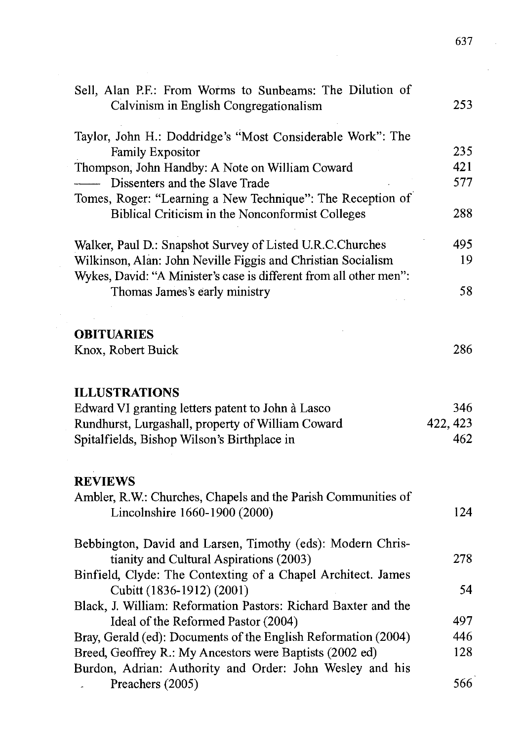| Sell, Alan P.F.: From Worms to Sunbeams: The Dilution of           |          |
|--------------------------------------------------------------------|----------|
| Calvinism in English Congregationalism                             | 253      |
|                                                                    |          |
| Taylor, John H.: Doddridge's "Most Considerable Work": The         |          |
| <b>Family Expositor</b>                                            | 235      |
| Thompson, John Handby: A Note on William Coward                    | 421      |
| Dissenters and the Slave Trade                                     | 577      |
| Tomes, Roger: "Learning a New Technique": The Reception of         |          |
| Biblical Criticism in the Nonconformist Colleges                   | 288      |
| Walker, Paul D.: Snapshot Survey of Listed U.R.C.Churches          | 495      |
| Wilkinson, Alan: John Neville Figgis and Christian Socialism       | 19       |
| Wykes, David: "A Minister's case is different from all other men": |          |
| Thomas James's early ministry                                      | 58       |
|                                                                    |          |
| <b>OBITUARIES</b>                                                  |          |
| Knox, Robert Buick                                                 | 286      |
|                                                                    |          |
| <b>ILLUSTRATIONS</b>                                               |          |
| Edward VI granting letters patent to John à Lasco                  | 346      |
| Rundhurst, Lurgashall, property of William Coward                  | 422, 423 |
| Spitalfields, Bishop Wilson's Birthplace in                        | 462      |
|                                                                    |          |
| <b>REVIEWS</b>                                                     |          |
| Ambler, R.W.: Churches, Chapels and the Parish Communities of      |          |
| Lincolnshire 1660-1900 (2000)                                      | 124      |
| Bebbington, David and Larsen, Timothy (eds): Modern Chris-         |          |
| tianity and Cultural Aspirations (2003)                            | 278      |
| Binfield, Clyde: The Contexting of a Chapel Architect. James       |          |
| Cubitt (1836-1912) (2001)                                          | 54       |
| Black, J. William: Reformation Pastors: Richard Baxter and the     |          |
| Ideal of the Reformed Pastor (2004)                                | 497      |
| Bray, Gerald (ed): Documents of the English Reformation (2004)     | 446      |
| Breed, Geoffrey R.: My Ancestors were Baptists (2002 ed)           | 128      |
| Burdon, Adrian: Authority and Order: John Wesley and his           |          |
| Preachers (2005)                                                   | 566      |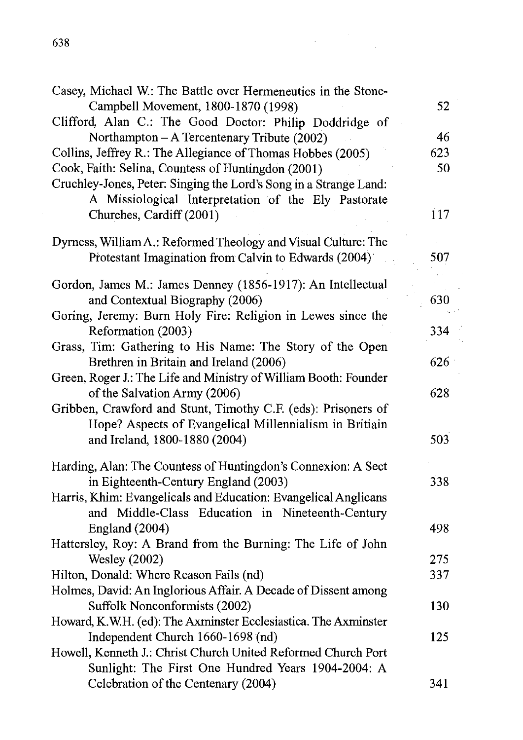| Casey, Michael W.: The Battle over Hermeneutics in the Stone-                                                            |     |
|--------------------------------------------------------------------------------------------------------------------------|-----|
| Campbell Movement, 1800-1870 (1998)                                                                                      | 52  |
| Clifford, Alan C.: The Good Doctor: Philip Doddridge of                                                                  |     |
| Northampton - A Tercentenary Tribute (2002)                                                                              | 46  |
| Collins, Jeffrey R.: The Allegiance of Thomas Hobbes (2005)                                                              | 623 |
| Cook, Faith: Selina, Countess of Huntingdon (2001)                                                                       | 50  |
| Cruchley-Jones, Peter: Singing the Lord's Song in a Strange Land:<br>A Missiological Interpretation of the Ely Pastorate |     |
| Churches, Cardiff (2001)                                                                                                 | 117 |
| Dyrness, William A.: Reformed Theology and Visual Culture: The                                                           |     |
| Protestant Imagination from Calvin to Edwards (2004)                                                                     | 507 |
| Gordon, James M.: James Denney (1856-1917): An Intellectual                                                              |     |
| and Contextual Biography (2006)                                                                                          | 630 |
| Goring, Jeremy: Burn Holy Fire: Religion in Lewes since the                                                              |     |
| Reformation (2003)                                                                                                       | 334 |
| Grass, Tim: Gathering to His Name: The Story of the Open                                                                 |     |
| Brethren in Britain and Ireland (2006)                                                                                   | 626 |
| Green, Roger J.: The Life and Ministry of William Booth: Founder                                                         |     |
| of the Salvation Army (2006)                                                                                             | 628 |
| Gribben, Crawford and Stunt, Timothy C.F. (eds): Prisoners of                                                            |     |
| Hope? Aspects of Evangelical Millennialism in Britiain                                                                   |     |
| and Ireland, 1800-1880 (2004)                                                                                            | 503 |
| Harding, Alan: The Countess of Huntingdon's Connexion: A Sect                                                            |     |
| in Eighteenth-Century England (2003)                                                                                     | 338 |
| Harris, Khim: Evangelicals and Education: Evangelical Anglicans                                                          |     |
| and Middle-Class Education in Nineteenth-Century                                                                         |     |
| England (2004)                                                                                                           | 498 |
| Hattersley, Roy: A Brand from the Burning: The Life of John                                                              |     |
| <b>Wesley</b> (2002)                                                                                                     | 275 |
| Hilton, Donald: Where Reason Fails (nd)                                                                                  | 337 |
| Holmes, David: An Inglorious Affair. A Decade of Dissent among                                                           |     |
| Suffolk Nonconformists (2002)                                                                                            | 130 |
| Howard, K.W.H. (ed): The Axminster Ecclesiastica. The Axminster                                                          |     |
| Independent Church 1660-1698 (nd)                                                                                        | 125 |
| Howell, Kenneth J.: Christ Church United Reformed Church Port                                                            |     |
| Sunlight: The First One Hundred Years 1904-2004: A                                                                       |     |
| Celebration of the Centenary (2004)                                                                                      | 341 |

 $\overline{a}$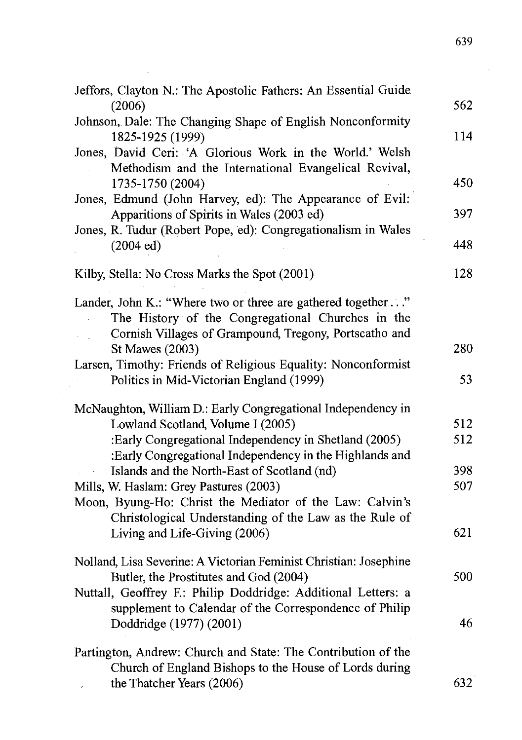| Jeffors, Clayton N.: The Apostolic Fathers: An Essential Guide                          |     |
|-----------------------------------------------------------------------------------------|-----|
| (2006)                                                                                  | 562 |
| Johnson, Dale: The Changing Shape of English Nonconformity<br>1825-1925 (1999)          | 114 |
| Jones, David Ceri: 'A Glorious Work in the World.' Welsh                                |     |
| Methodism and the International Evangelical Revival,                                    |     |
| 1735-1750 (2004)                                                                        | 450 |
| Jones, Edmund (John Harvey, ed): The Appearance of Evil:                                |     |
| Apparitions of Spirits in Wales (2003 ed)                                               | 397 |
| Jones, R. Tudur (Robert Pope, ed): Congregationalism in Wales                           | 448 |
| (2004 ed)                                                                               |     |
| Kilby, Stella: No Cross Marks the Spot (2001)                                           | 128 |
| Lander, John K.: "Where two or three are gathered together "                            |     |
| The History of the Congregational Churches in the                                       |     |
| Cornish Villages of Grampound, Tregony, Portscatho and                                  |     |
| St Mawes (2003)                                                                         | 280 |
| Larsen, Timothy: Friends of Religious Equality: Nonconformist                           |     |
| Politics in Mid-Victorian England (1999)                                                | 53  |
| McNaughton, William D.: Early Congregational Independency in                            |     |
| Lowland Scotland, Volume I (2005)                                                       | 512 |
| :Early Congregational Independency in Shetland (2005)                                   | 512 |
| :Early Congregational Independency in the Highlands and                                 |     |
| Islands and the North-East of Scotland (nd)                                             | 398 |
| Mills, W. Haslam: Grey Pastures (2003)                                                  | 507 |
| Moon, Byung-Ho: Christ the Mediator of the Law: Calvin's                                |     |
| Christological Understanding of the Law as the Rule of<br>Living and Life-Giving (2006) | 621 |
|                                                                                         |     |
| Nolland, Lisa Severine: A Victorian Feminist Christian: Josephine                       |     |
| Butler, the Prostitutes and God (2004)                                                  | 500 |
| Nuttall, Geoffrey F.: Philip Doddridge: Additional Letters: a                           |     |
| supplement to Calendar of the Correspondence of Philip                                  |     |
| Doddridge (1977) (2001)                                                                 | 46  |
| Partington, Andrew: Church and State: The Contribution of the                           |     |
| Church of England Bishops to the House of Lords during                                  |     |
| the Thatcher Years (2006)                                                               | 632 |

 $\sim$   $\sim$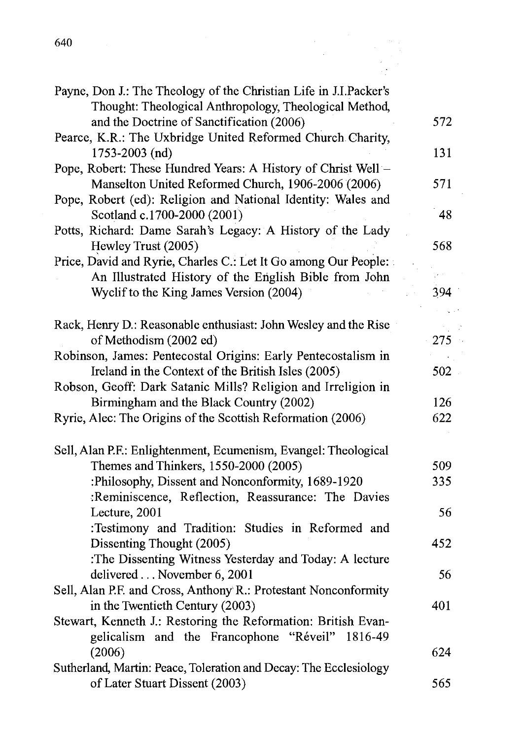| 640                                                                                                                         |            |
|-----------------------------------------------------------------------------------------------------------------------------|------------|
|                                                                                                                             |            |
| Payne, Don J.: The Theology of the Christian Life in J.I.Packer's<br>Thought: Theological Anthropology, Theological Method, |            |
| and the Doctrine of Sanctification (2006)<br>Pearce, K.R.: The Uxbridge United Reformed Church Charity,                     | 572        |
| 1753-2003 (nd)                                                                                                              | 131        |
| Pope, Robert: These Hundred Years: A History of Christ Well -<br>Manselton United Reformed Church, 1906-2006 (2006)         | 571        |
| Pope, Robert (ed): Religion and National Identity: Wales and<br>Scotland c.1700-2000 (2001)                                 | 48         |
| Potts, Richard: Dame Sarah's Legacy: A History of the Lady<br>Hewley Trust (2005)                                           | 568        |
| Price, David and Ryrie, Charles C.: Let It Go among Our People:                                                             |            |
| An Illustrated History of the English Bible from John<br>Wyclif to the King James Version (2004)                            | 394        |
|                                                                                                                             |            |
| Rack, Henry D.: Reasonable enthusiast: John Wesley and the Rise<br>of Methodism (2002 ed)                                   | 275        |
| Robinson, James: Pentecostal Origins: Early Pentecostalism in                                                               |            |
| Ireland in the Context of the British Isles (2005)                                                                          | 502        |
| Robson, Geoff: Dark Satanic Mills? Religion and Irreligion in<br>Birmingham and the Black Country (2002)                    | 126        |
| Ryrie, Alec: The Origins of the Scottish Reformation (2006)                                                                 | 622        |
|                                                                                                                             |            |
| Sell, Alan P.F.: Enlightenment, Ecumenism, Evangel: Theological                                                             |            |
| Themes and Thinkers, 1550-2000 (2005)<br>:Philosophy, Dissent and Nonconformity, 1689-1920                                  | 509<br>335 |
| :Reminiscence, Reflection, Reassurance: The Davies                                                                          |            |
| Lecture, 2001                                                                                                               | 56         |
| :Testimony and Tradition: Studies in Reformed and                                                                           |            |
| Dissenting Thought (2005)                                                                                                   | 452        |
| :The Dissenting Witness Yesterday and Today: A lecture<br>delivered November 6, 2001                                        | 56         |
| Sell, Alan P.F. and Cross, Anthony R.: Protestant Nonconformity                                                             |            |
| in the Twentieth Century (2003)                                                                                             | 401        |
| Stewart, Kenneth J.: Restoring the Reformation: British Evan-                                                               |            |
| gelicalism and the Francophone "Réveil"<br>1816-49<br>(2006)                                                                | 624        |
| Sutherland, Martin: Peace, Toleration and Decay: The Ecclesiology                                                           |            |
| of Later Stuart Dissent (2003)                                                                                              | 565        |

 $\bar{z}$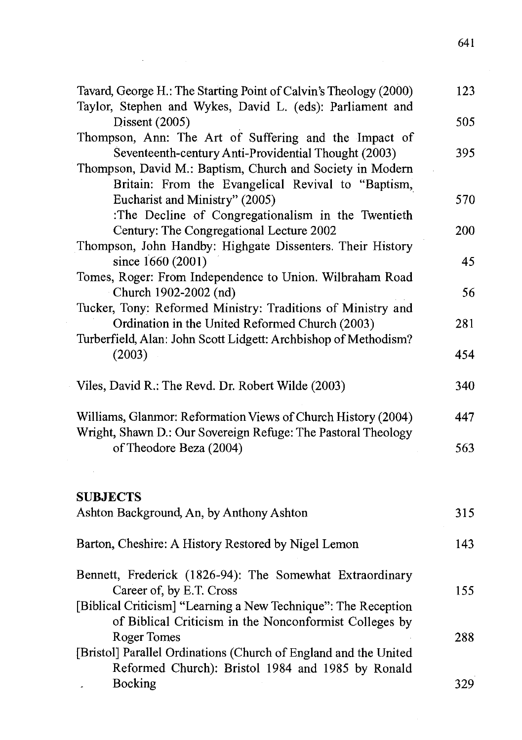| Tavard, George H.: The Starting Point of Calvin's Theology (2000)<br>Taylor, Stephen and Wykes, David L. (eds): Parliament and | 123 |
|--------------------------------------------------------------------------------------------------------------------------------|-----|
| Dissent (2005)                                                                                                                 | 505 |
| Thompson, Ann: The Art of Suffering and the Impact of                                                                          |     |
| Seventeenth-century Anti-Providential Thought (2003)                                                                           | 395 |
| Thompson, David M.: Baptism, Church and Society in Modern                                                                      |     |
| Britain: From the Evangelical Revival to "Baptism,                                                                             |     |
| Eucharist and Ministry" (2005)                                                                                                 | 570 |
| :The Decline of Congregationalism in the Twentieth                                                                             |     |
| Century: The Congregational Lecture 2002                                                                                       | 200 |
| Thompson, John Handby: Highgate Dissenters. Their History                                                                      |     |
| since 1660 (2001)                                                                                                              | 45  |
| Tomes, Roger: From Independence to Union. Wilbraham Road                                                                       |     |
| Church 1902-2002 (nd)                                                                                                          | 56  |
| Tucker, Tony: Reformed Ministry: Traditions of Ministry and                                                                    |     |
| Ordination in the United Reformed Church (2003)                                                                                | 281 |
| Turberfield, Alan: John Scott Lidgett: Archbishop of Methodism?                                                                |     |
| (2003)                                                                                                                         | 454 |
|                                                                                                                                |     |
| Viles, David R.: The Revd. Dr. Robert Wilde (2003)                                                                             | 340 |
|                                                                                                                                |     |
| Williams, Glanmor: Reformation Views of Church History (2004)                                                                  | 447 |
| Wright, Shawn D.: Our Sovereign Refuge: The Pastoral Theology                                                                  |     |
| of Theodore Beza (2004)                                                                                                        | 563 |
|                                                                                                                                |     |
|                                                                                                                                |     |
| <b>SUBJECTS</b>                                                                                                                |     |
| Ashton Background, An, by Anthony Ashton                                                                                       | 315 |
|                                                                                                                                |     |
| Barton, Cheshire: A History Restored by Nigel Lemon                                                                            | 143 |
| Bennett, Frederick (1826-94): The Somewhat Extraordinary                                                                       |     |
| Career of, by E.T. Cross                                                                                                       | 155 |
| [Biblical Criticism] "Learning a New Technique": The Reception                                                                 |     |
| of Biblical Criticism in the Nonconformist Colleges by                                                                         |     |
| Roger Tomes                                                                                                                    | 288 |
| [Bristol] Parallel Ordinations (Church of England and the United                                                               |     |
| Reformed Church): Bristol 1984 and 1985 by Ronald                                                                              |     |
| Bocking                                                                                                                        | 329 |

 $\mathcal{L}^{\mathcal{L}}(\mathcal{L}^{\mathcal{L}})$  , where  $\mathcal{L}^{\mathcal{L}}(\mathcal{L}^{\mathcal{L}})$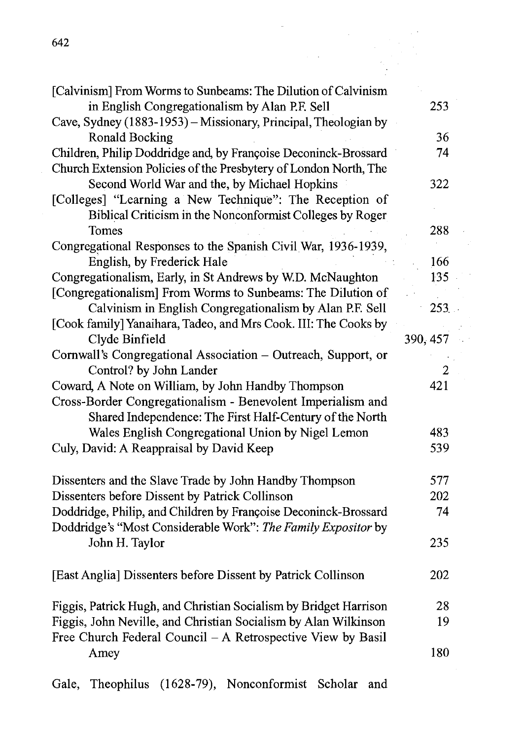| 642                                                               |          |
|-------------------------------------------------------------------|----------|
|                                                                   |          |
| [Calvinism] From Worms to Sunbeams: The Dilution of Calvinism     |          |
| in English Congregationalism by Alan P.F. Sell                    | 253      |
| Cave, Sydney (1883-1953) - Missionary, Principal, Theologian by   |          |
| <b>Ronald Bocking</b>                                             | 36       |
| Children, Philip Doddridge and, by Françoise Deconinck-Brossard   | 74       |
| Church Extension Policies of the Presbytery of London North, The  |          |
| Second World War and the, by Michael Hopkins                      | 322      |
| [Colleges] "Learning a New Technique": The Reception of           |          |
| Biblical Criticism in the Nonconformist Colleges by Roger         |          |
| Tomes                                                             | 288      |
| Congregational Responses to the Spanish Civil War, 1936-1939,     |          |
| English, by Frederick Hale                                        | 166      |
| Congregationalism, Early, in St Andrews by W.D. McNaughton        | 135      |
| [Congregationalism] From Worms to Sunbeams: The Dilution of       |          |
| Calvinism in English Congregationalism by Alan P.F. Sell          | 253      |
| [Cook family] Yanaihara, Tadeo, and Mrs Cook. III: The Cooks by   |          |
| Clyde Binfield                                                    | 390, 457 |
| Cornwall's Congregational Association - Outreach, Support, or     |          |
| Control? by John Lander                                           | 2        |
| Coward, A Note on William, by John Handby Thompson                | 421      |
| Cross-Border Congregationalism - Benevolent Imperialism and       |          |
| Shared Independence: The First Half-Century of the North          |          |
| Wales English Congregational Union by Nigel Lemon                 | 483      |
| Culy, David: A Reappraisal by David Keep                          | 539      |
|                                                                   |          |
| Dissenters and the Slave Trade by John Handby Thompson            | 577      |
| Dissenters before Dissent by Patrick Collinson                    | 202      |
| Doddridge, Philip, and Children by Françoise Deconinck-Brossard   | 74       |
| Doddridge's "Most Considerable Work": The Family Expositor by     |          |
| John H. Taylor                                                    | 235      |
| [East Anglia] Dissenters before Dissent by Patrick Collinson      | 202      |
| Figgis, Patrick Hugh, and Christian Socialism by Bridget Harrison | 28       |
| Figgis, John Neville, and Christian Socialism by Alan Wilkinson   | 19       |
| Free Church Federal Council - A Retrospective View by Basil       |          |
|                                                                   | 180      |
| Amey                                                              |          |
|                                                                   |          |

 $\sqrt{1-\beta}$  $\epsilon_{\rm in}$ 

Gale, Theophilus (1628-79), Nonconformist Scholar and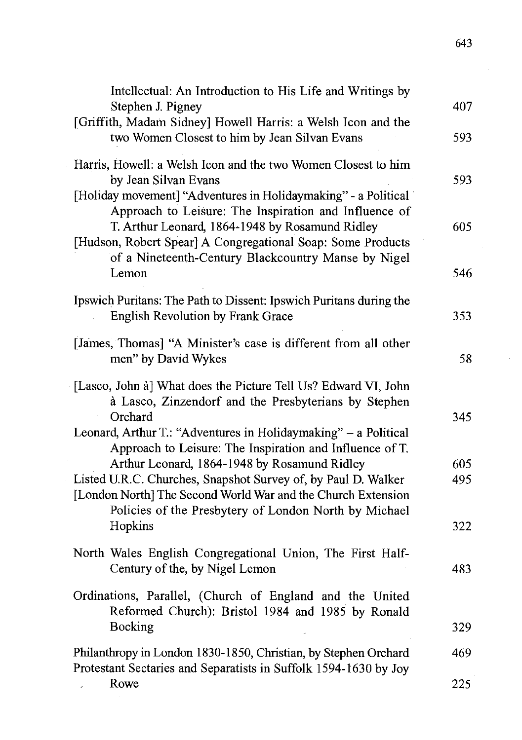| Intellectual: An Introduction to His Life and Writings by<br>Stephen J. Pigney                                                                                                         | 407  |
|----------------------------------------------------------------------------------------------------------------------------------------------------------------------------------------|------|
| [Griffith, Madam Sidney] Howell Harris: a Welsh Icon and the<br>two Women Closest to him by Jean Silvan Evans                                                                          | 593  |
| Harris, Howell: a Welsh Icon and the two Women Closest to him<br>by Jean Silvan Evans<br>[Holiday movement] "Adventures in Holidaymaking" - a Political                                | 593. |
| Approach to Leisure: The Inspiration and Influence of<br>T. Arthur Leonard, 1864-1948 by Rosamund Ridley<br>[Hudson, Robert Spear] A Congregational Soap: Some Products                | 605  |
| of a Nineteenth-Century Blackcountry Manse by Nigel<br>Lemon                                                                                                                           | 546  |
| Ipswich Puritans: The Path to Dissent: Ipswich Puritans during the<br>English Revolution by Frank Grace                                                                                | 353  |
| [James, Thomas] "A Minister's case is different from all other<br>men" by David Wykes                                                                                                  | 58   |
| [Lasco, John à] What does the Picture Tell Us? Edward VI, John<br>à Lasco, Zinzendorf and the Presbyterians by Stephen<br>Orchard                                                      | 345  |
| Leonard, Arthur T.: "Adventures in Holidaymaking" - a Political<br>Approach to Leisure: The Inspiration and Influence of T.<br>Arthur Leonard, 1864-1948 by Rosamund Ridley            | 605  |
| Listed U.R.C. Churches, Snapshot Survey of, by Paul D. Walker<br>[London North] The Second World War and the Church Extension<br>Policies of the Presbytery of London North by Michael | 495  |
| Hopkins                                                                                                                                                                                | 322  |
| North Wales English Congregational Union, The First Half-<br>Century of the, by Nigel Lemon                                                                                            | 483  |
| Ordinations, Parallel, (Church of England and the United<br>Reformed Church): Bristol 1984 and 1985 by Ronald                                                                          |      |
| Bocking                                                                                                                                                                                | 329  |
| Philanthropy in London 1830-1850, Christian, by Stephen Orchard<br>Protestant Sectaries and Separatists in Suffolk 1594-1630 by Joy                                                    | 469  |
| Rowe                                                                                                                                                                                   | 225  |

 $\mathcal{A}$